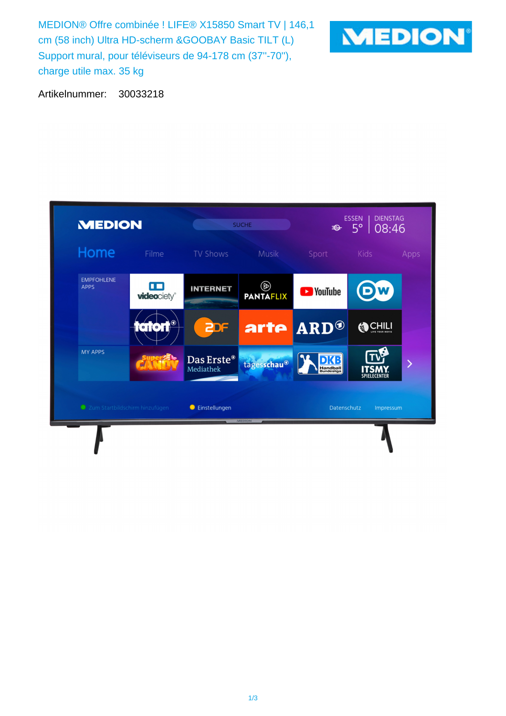MEDION® Offre combinée ! LIFE® X15850 Smart TV | 146,1 cm (58 inch) Ultra HD-scherm &GOOBAY Basic TILT (L) Support mural, pour téléviseurs de 94-178 cm (37''-70''), charge utile max. 35 kg



Artikelnummer: 30033218

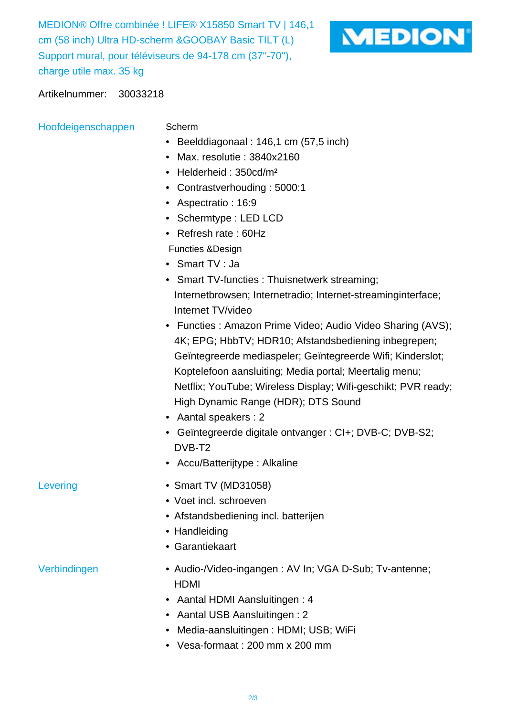MEDION® Offre combinée ! LIFE® X15850 Smart TV | 146,1 cm (58 inch) Ultra HD-scherm &GOOBAY Basic TILT (L) Support mural, pour téléviseurs de 94-178 cm (37"-70"), charge utile max. 35 kg



Artikelnummer: 30033218

Hoofdeigenschappen Scherm

- - Beelddiagonaal : 146,1 cm (57,5 inch)
- Max. resolutie : 3840x2160
- Helderheid : 350cd/m²
- Contrastverhouding : 5000:1
- Aspectratio : 16:9
- Schermtype : LED LCD
- Refresh rate : 60Hz
- Functies &Design
- Smart TV : Ja
- Smart TV-functies : Thuisnetwerk streaming; Internetbrowsen; Internetradio; Internet-streaminginterface; Internet TV/video
- Functies : Amazon Prime Video; Audio Video Sharing (AVS); 4K; EPG; HbbTV; HDR10; Afstandsbediening inbegrepen; Geïntegreerde mediaspeler; Geïntegreerde Wifi; Kinderslot; Koptelefoon aansluiting; Media portal; Meertalig menu; Netflix; YouTube; Wireless Display; Wifi-geschikt; PVR ready; High Dynamic Range (HDR); DTS Sound
- Aantal speakers : 2
- Geïntegreerde digitale ontvanger : CI+; DVB-C; DVB-S2; DVB-T2
- Accu/Batterijtype : Alkaline
- Levering Smart TV (MD31058)
	- Voet incl. schroeven
	- Afstandsbediening incl. batterijen
	- Handleiding
	- Garantiekaart

- Verbindingen  **Audio-/Video-ingangen : AV In; VGA D-Sub**; Tv-antenne; HDMI
	- Aantal HDMI Aansluitingen : 4
	- Aantal USB Aansluitingen : 2
	- Media-aansluitingen : HDMI; USB; WiFi
	- Vesa-formaat : 200 mm x 200 mm